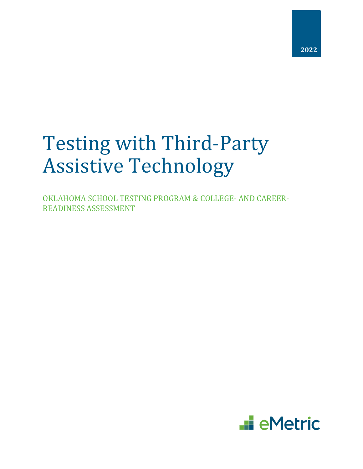# Testing with Third-Party Assistive Technology

OKLAHOMA SCHOOL TESTING PROGRAM & COLLEGE- AND CAREER-READINESS ASSESSMENT

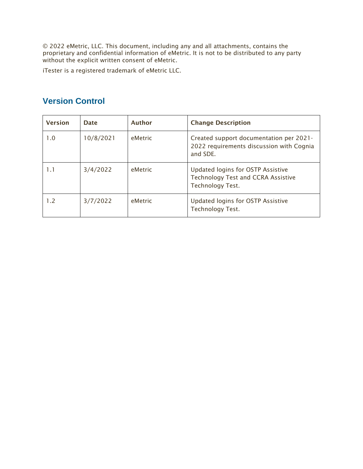© 2022 eMetric, LLC. This document, including any and all attachments, contains the proprietary and confidential information of eMetric. It is not to be distributed to any party without the explicit written consent of eMetric.

iTester is a registered trademark of eMetric LLC.

| <b>Version</b> | Date      | <b>Author</b> | <b>Change Description</b>                                                                                 |
|----------------|-----------|---------------|-----------------------------------------------------------------------------------------------------------|
| 1.0            | 10/8/2021 | eMetric       | Created support documentation per 2021-<br>2022 requirements discussion with Cognia<br>and SDE.           |
| 1.1            | 3/4/2022  | eMetric       | Updated logins for OSTP Assistive<br><b>Technology Test and CCRA Assistive</b><br><b>Technology Test.</b> |
| 1.2            | 3/7/2022  | eMetric       | Updated logins for OSTP Assistive<br><b>Technology Test.</b>                                              |

### **Version Control**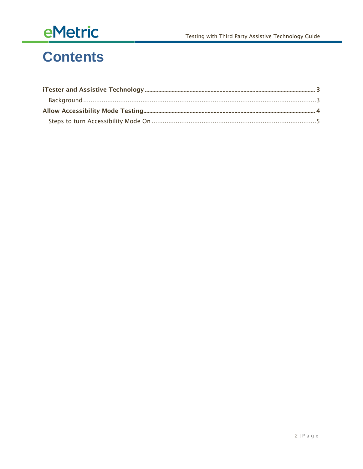# eMetric

### **Contents**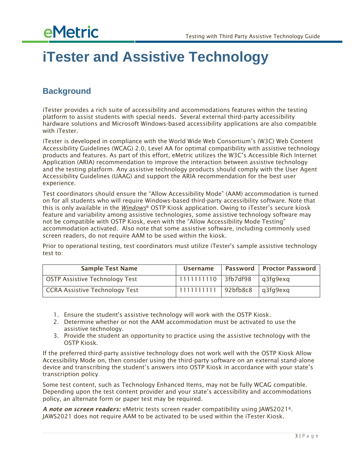## **eMetric**

### <span id="page-3-0"></span>**iTester and Assistive Technology**

#### <span id="page-3-1"></span>**Background**

iTester provides a rich suite of accessibility and accommodations features within the testing platform to assist students with special needs. Several external third-party accessibility hardware solutions and Microsoft Windows-based accessibility applications are also compatible with iTester.

iTester is developed in compliance with the World Wide Web Consortium's (W3C) Web Content Accessibility Guidelines (WCAG) 2.0, Level AA for optimal compatibility with assistive technology products and features. As part of this effort, eMetric utilizes the W3C's Accessible Rich Internet Application (ARIA) recommendation to improve the interaction between assistive technology and the testing platform. Any assistive technology products should comply with the User Agent Accessibility Guidelines (UAAG) and support the ARIA recommendation for the best user experience.

Test coordinators should ensure the "Allow Accessibility Mode" (AAM) accommodation is turned on for all students who will require Windows-based third-party accessibility software. Note that this is only available in the *Windows*® OSTP Kiosk application. Owing to iTester's secure kiosk feature and variability among assistive technologies, some assistive technology software may not be compatible with OSTP Kiosk, even with the "Allow Accessibility Mode Testing" accommodation activated. Also note that some assistive software, including commonly used screen readers, do not require AAM to be used within the kiosk.

Prior to operational testing, test coordinators must utilize iTester's sample assistive technology test to:

| <b>Sample Test Name</b>               | <b>Username</b>    |             | <b>Password Proctor Password</b> |
|---------------------------------------|--------------------|-------------|----------------------------------|
| <b>OSTP Assistive Technology Test</b> | 111111110 3fb7df98 |             | g3fg9exg                         |
| CCRA Assistive Technology Test        | 1111111111         | $92b$ fb8c8 | g3fg9exg                         |

- 1. Ensure the student's assistive technology will work with the OSTP Kiosk.
- 2. Determine whether or not the AAM accommodation must be activated to use the assistive technology.
- 3. Provide the student an opportunity to practice using the assistive technology with the OSTP Kiosk.

If the preferred third-party assistive technology does not work well with the OSTP Kiosk Allow Accessibility Mode on, then consider using the third-party software on an external stand-alone device and transcribing the student's answers into OSTP Kiosk in accordance with your state's transcription policy.

Some test content, such as Technology Enhanced Items, may not be fully WCAG compatible. Depending upon the test content provider and your state's accessibility and accommodations policy, an alternate form or paper test may be required.

*A note on screen readers:* eMetric tests screen reader compatibility using JAWS2021®. JAWS2021 does not require AAM to be activated to be used within the iTester Kiosk.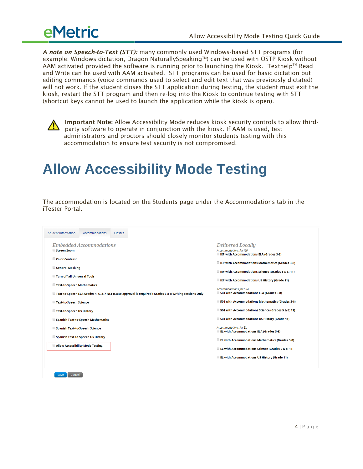

*A note on Speech-to-Text (STT):* many commonly used Windows-based STT programs (for example: Windows dictation, Dragon NaturallySpeaking™) can be used with OSTP Kiosk without AAM activated provided the software is running prior to launching the Kiosk. Texthelp™ Read and Write can be used with AAM activated. STT programs can be used for basic dictation but editing commands (voice commands used to select and edit text that was previously dictated) will not work. If the student closes the STT application during testing, the student must exit the kiosk, restart the STT program and then re-log into the Kiosk to continue testing with STT (shortcut keys cannot be used to launch the application while the kiosk is open).



Important Note: Allow Accessibility Mode reduces kiosk security controls to allow thirdparty software to operate in conjunction with the kiosk. If AAM is used, test administrators and proctors should closely monitor students testing with this accommodation to ensure test security is not compromised.

### <span id="page-4-0"></span>**Allow Accessibility Mode Testing**

The accommodation is located on the Students page under the Accommodations tab in the iTester Portal.

| <b>Student Information</b>                                 | <b>Accommodations</b>              | <b>Classes</b> |                                                                                                                                                                                       |
|------------------------------------------------------------|------------------------------------|----------------|---------------------------------------------------------------------------------------------------------------------------------------------------------------------------------------|
| Screen Zoom                                                | Embedded Accommodations            |                | Delivered Locally<br><b>Accommodations for IEP</b><br><b>Example 15 IEP with Accommodations ELA (Grades 3-8)</b>                                                                      |
| Color Contrast                                             |                                    |                | <b>IEP with Accommodations Mathematics (Grades 3-8)</b>                                                                                                                               |
| General Masking                                            |                                    |                | <b>IEP with Accommodations Science (Grades 5 &amp; 8; 11)</b>                                                                                                                         |
| Turn off all Universal Tools<br>Text-to-Speech Mathematics |                                    |                | <b>E</b> IEP with Accommodations US History (Grade 11)                                                                                                                                |
|                                                            |                                    |                | <b>Accommodations for 504</b><br>504 with Accommodations ELA (Grades 3-8)<br>Text-to-Speech ELA Grades 4, 6, & 7 NS1 (State approval is required); Grades 5 & 8 Writing Sections Only |
| Text-to-Speech Science                                     |                                    |                | 504 with Accommodations Mathematics (Grades 3-8)                                                                                                                                      |
| Text-to-Speech US History                                  |                                    |                | 504 with Accommodations Science (Grades 5 & 8; 11)                                                                                                                                    |
|                                                            | Spanish Text-to-Speech Mathematics |                | 504 with Accommodations US History (Grade 11)                                                                                                                                         |
| Spanish Text-to-Speech Science                             |                                    |                | <b>Accommodations for EL</b><br>EL with Accommodations ELA (Grades 3-8)                                                                                                               |
|                                                            | Spanish Text-to-Speech US History  |                | <b>EL with Accommodations Mathematics (Grades 3-8)</b>                                                                                                                                |
| Allow Accessibility Mode Testing                           |                                    |                | EL with Accommodations Science (Grades 5 & 8; 11)                                                                                                                                     |
|                                                            |                                    |                | EL with Accommodations US History (Grade 11)                                                                                                                                          |
| Cancel<br>Save                                             |                                    |                |                                                                                                                                                                                       |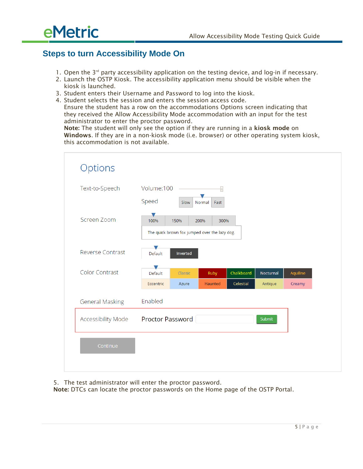

#### <span id="page-5-0"></span>**Steps to turn Accessibility Mode On**

- 1. Open the 3<sup>rd</sup> party accessibility application on the testing device, and log-in if necessary.
- 2. Launch the OSTP Kiosk. The accessibility application menu should be visible when the kiosk is launched.
- 3. Student enters their Username and Password to log into the kiosk.
- 4. Student selects the session and enters the session access code. Ensure the student has a row on the accommodations Options screen indicating that they received the Allow Accessibility Mode accommodation with an input for the test administrator to enter the proctor password.

Note: The student will only see the option if they are running in a kiosk mode on Windows. If they are in a non-kiosk mode (i.e. browser) or other operating system kiosk, this accommodation is not available.

| Text-to-Speech          | Volume:100       |          | $\equiv$<br>$\blacksquare$                    |            |           |          |
|-------------------------|------------------|----------|-----------------------------------------------|------------|-----------|----------|
|                         | Speed            | Slow     | Fast<br>Normal                                |            |           |          |
| Screen Zoom             | V<br>100%        | 150%     | 300%<br>200%                                  |            |           |          |
|                         |                  |          | The quick brown fox jumped over the lazy dog. |            |           |          |
| <b>Reverse Contrast</b> | Default          | Inverted |                                               |            |           |          |
| <b>Color Contrast</b>   | Default          | Classic  | Ruby                                          | Chalkboard | Nocturnal | Aquiline |
|                         | Eccentric        | Azure    | Haunted                                       | Celestial  | Antique   | Creamy   |
| <b>General Masking</b>  | Enabled          |          |                                               |            |           |          |
| Accessibility Mode      | Proctor Password |          |                                               |            | Submit    |          |
| Continue                |                  |          |                                               |            |           |          |

5. The test administrator will enter the proctor password.

Note: DTCs can locate the proctor passwords on the Home page of the OSTP Portal.